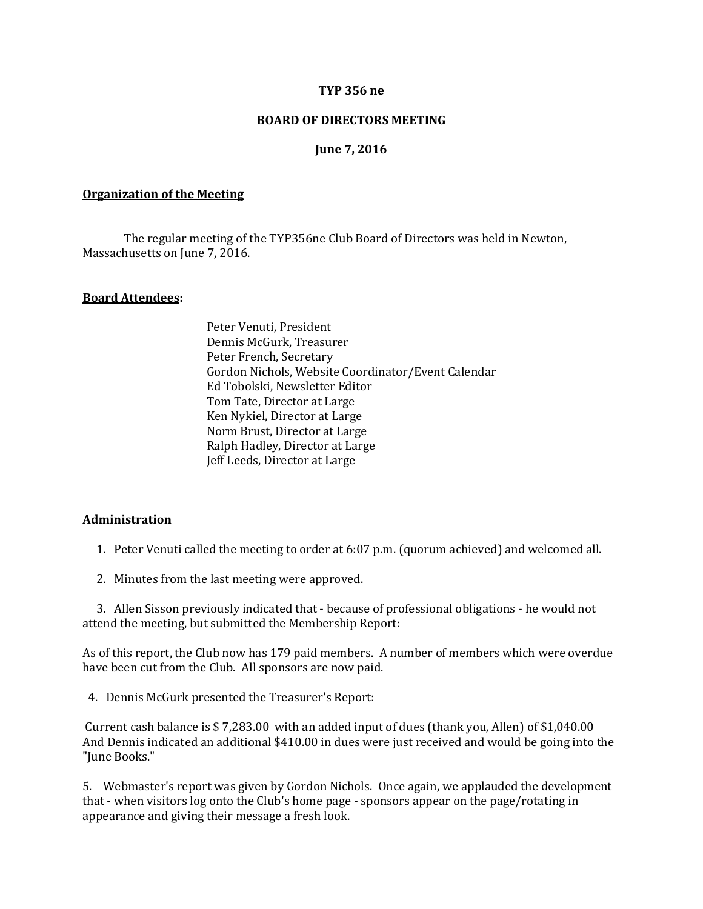### **TYP 356 ne**

### **BOARD OF DIRECTORS MEETING**

### **June 7, 2016**

#### **Organization of the Meeting**

The regular meeting of the TYP356ne Club Board of Directors was held in Newton, Massachusetts on June 7, 2016.

### **Board Attendees:**

Peter Venuti, President Dennis McGurk, Treasurer Peter French, Secretary Gordon Nichols, Website Coordinator/Event Calendar Ed Tobolski, Newsletter Editor Tom Tate, Director at Large Ken Nykiel, Director at Large Norm Brust, Director at Large Ralph Hadley, Director at Large Jeff Leeds, Director at Large

### **Administration**

1. Peter Venuti called the meeting to order at 6:07 p.m. (quorum achieved) and welcomed all.

2. Minutes from the last meeting were approved.

 3. Allen Sisson previously indicated that - because of professional obligations - he would not attend the meeting, but submitted the Membership Report:

As of this report, the Club now has 179 paid members. A number of members which were overdue have been cut from the Club. All sponsors are now paid.

4. Dennis McGurk presented the Treasurer's Report:

Current cash balance is \$ 7,283.00 with an added input of dues (thank you, Allen) of \$1,040.00 And Dennis indicated an additional \$410.00 in dues were just received and would be going into the "June Books."

5. Webmaster's report was given by Gordon Nichols. Once again, we applauded the development that - when visitors log onto the Club's home page - sponsors appear on the page/rotating in appearance and giving their message a fresh look.